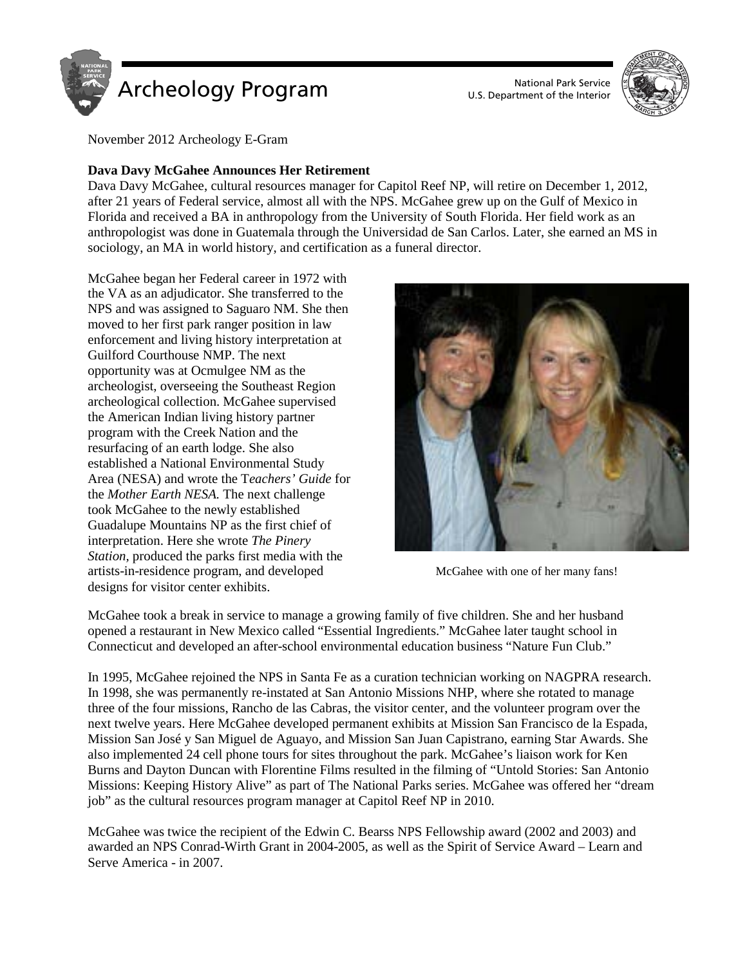

U.S. Department of the Interior



November 2012 Archeology E-Gram

# **Dava Davy McGahee Announces Her Retirement**

Dava Davy McGahee, cultural resources manager for Capitol Reef NP, will retire on December 1, 2012, after 21 years of Federal service, almost all with the NPS. McGahee grew up on the Gulf of Mexico in Florida and received a BA in anthropology from the University of South Florida. Her field work as an anthropologist was done in Guatemala through the Universidad de San Carlos. Later, she earned an MS in sociology, an MA in world history, and certification as a funeral director.

McGahee began her Federal career in 1972 with the VA as an adjudicator. She transferred to the NPS and was assigned to Saguaro NM. She then moved to her first park ranger position in law enforcement and living history interpretation at Guilford Courthouse NMP. The next opportunity was at Ocmulgee NM as the archeologist, overseeing the Southeast Region archeological collection. McGahee supervised the American Indian living history partner program with the Creek Nation and the resurfacing of an earth lodge. She also established a National Environmental Study Area (NESA) and wrote the T*eachers' Guide* for the *Mother Earth NESA.* The next challenge took McGahee to the newly established Guadalupe Mountains NP as the first chief of interpretation. Here she wrote *The Pinery Station,* produced the parks first media with the artists-in-residence program, and developed designs for visitor center exhibits.



McGahee with one of her many fans!

McGahee took a break in service to manage a growing family of five children. She and her husband opened a restaurant in New Mexico called "Essential Ingredients." McGahee later taught school in Connecticut and developed an after-school environmental education business "Nature Fun Club."

In 1995, McGahee rejoined the NPS in Santa Fe as a curation technician working on NAGPRA research. In 1998, she was permanently re-instated at San Antonio Missions NHP, where she rotated to manage three of the four missions, Rancho de las Cabras, the visitor center, and the volunteer program over the next twelve years. Here McGahee developed permanent exhibits at Mission San Francisco de la Espada, Mission San José y San Miguel de Aguayo, and Mission San Juan Capistrano, earning Star Awards. She also implemented 24 cell phone tours for sites throughout the park. McGahee's liaison work for Ken Burns and Dayton Duncan with Florentine Films resulted in the filming of "Untold Stories: San Antonio Missions: Keeping History Alive" as part of The National Parks series. McGahee was offered her "dream job" as the cultural resources program manager at Capitol Reef NP in 2010.

McGahee was twice the recipient of the Edwin C. Bearss NPS Fellowship award (2002 and 2003) and awarded an NPS Conrad-Wirth Grant in 2004-2005, as well as the Spirit of Service Award – Learn and Serve America - in 2007.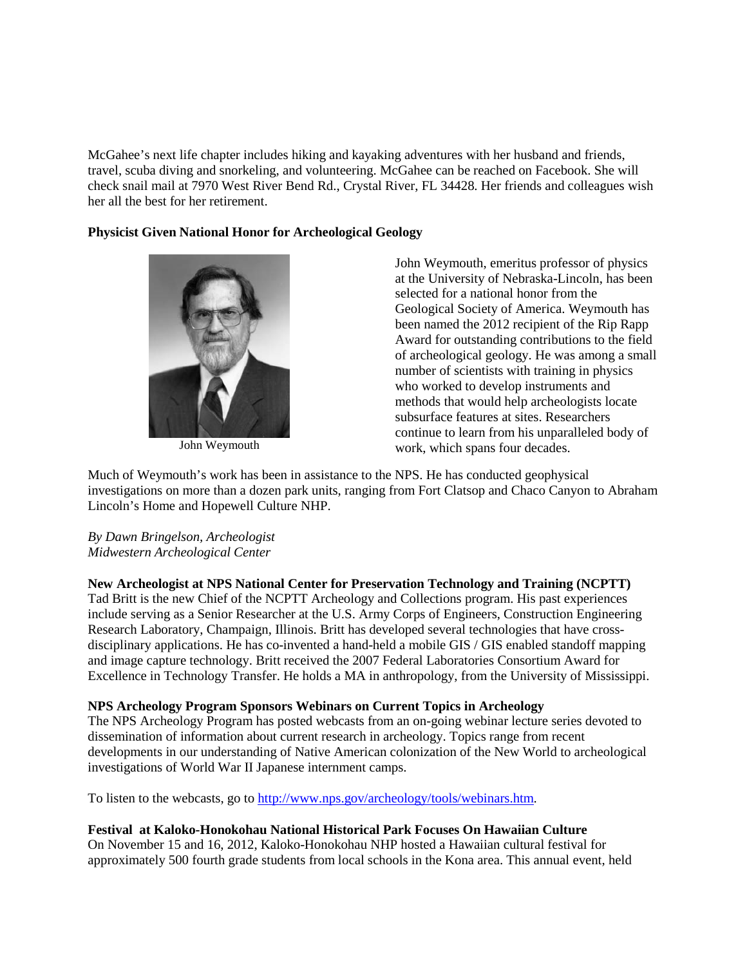McGahee's next life chapter includes hiking and kayaking adventures with her husband and friends, travel, scuba diving and snorkeling, and volunteering. McGahee can be reached on Facebook. She will check snail mail at 7970 West River Bend Rd., Crystal River, FL 34428. Her friends and colleagues wish her all the best for her retirement.

## **Physicist Given National Honor for Archeological Geology**



John Weymouth

John Weymouth, emeritus professor of physics at the University of Nebraska-Lincoln, has been selected for a national honor from the Geological Society of America. Weymouth has been named the 2012 recipient of the Rip Rapp Award for outstanding contributions to the field of archeological geology. He was among a small number of scientists with training in physics who worked to develop instruments and methods that would help archeologists locate subsurface features at sites. Researchers continue to learn from his unparalleled body of work, which spans four decades.

Much of Weymouth's work has been in assistance to the NPS. He has conducted geophysical investigations on more than a dozen park units, ranging from Fort Clatsop and Chaco Canyon to Abraham Lincoln's Home and Hopewell Culture NHP.

## *By Dawn Bringelson, Archeologist Midwestern Archeological Center*

**New Archeologist at NPS National Center for Preservation Technology and Training (NCPTT)**  Tad Britt is the new Chief of the NCPTT Archeology and Collections program. His past experiences include serving as a Senior Researcher at the U.S. Army Corps of Engineers, Construction Engineering

Research Laboratory, Champaign, Illinois. Britt has developed several technologies that have crossdisciplinary applications. He has co-invented a hand-held a mobile GIS / GIS enabled standoff mapping and image capture technology. Britt received the 2007 Federal Laboratories Consortium Award for Excellence in Technology Transfer. He holds a MA in anthropology, from the University of Mississippi.

## **NPS Archeology Program Sponsors Webinars on Current Topics in Archeology**

The NPS Archeology Program has posted webcasts from an on-going webinar lecture series devoted to dissemination of information about current research in archeology. Topics range from recent developments in our understanding of Native American colonization of the New World to archeological investigations of World War II Japanese internment camps.

To listen to the webcasts, go to [http://www.nps.gov/archeology/tools/webinars.htm.](http://www.nps.gov/archeology/tools/webinars.htm)

## **Festival at Kaloko-Honokohau National Historical Park Focuses On Hawaiian Culture**

On November 15 and 16, 2012, Kaloko-Honokohau NHP hosted a Hawaiian cultural festival for approximately 500 fourth grade students from local schools in the Kona area. This annual event, held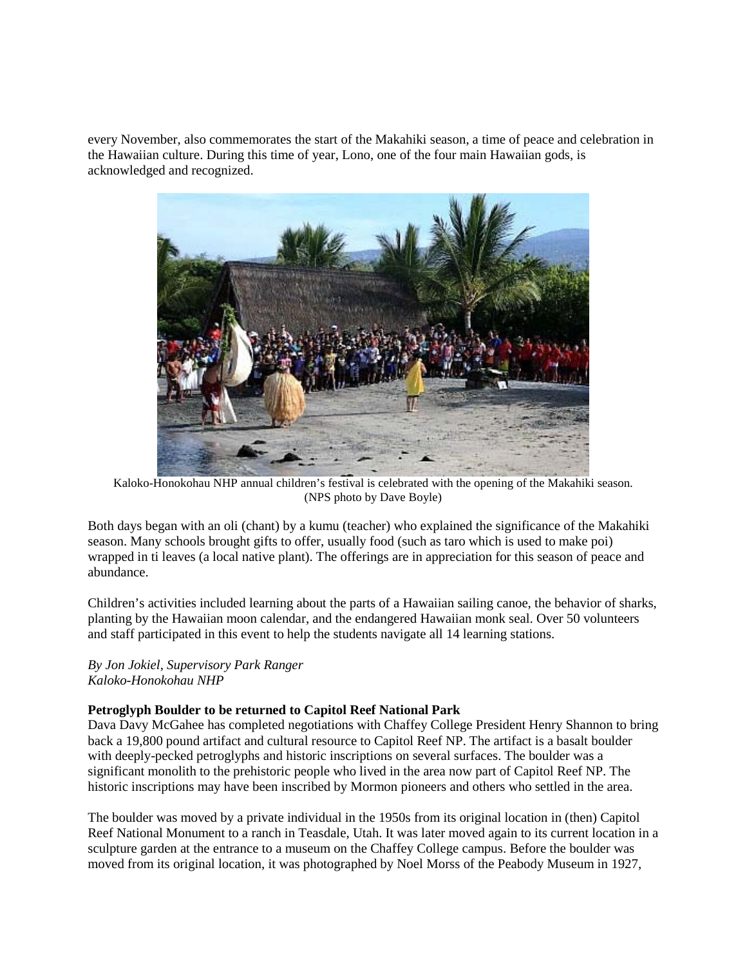every November, also commemorates the start of the Makahiki season, a time of peace and celebration in the Hawaiian culture. During this time of year, Lono, one of the four main Hawaiian gods, is acknowledged and recognized.



Kaloko-Honokohau NHP annual children's festival is celebrated with the opening of the Makahiki season. (NPS photo by Dave Boyle)

Both days began with an oli (chant) by a kumu (teacher) who explained the significance of the Makahiki season. Many schools brought gifts to offer, usually food (such as taro which is used to make poi) wrapped in ti leaves (a local native plant). The offerings are in appreciation for this season of peace and abundance.

Children's activities included learning about the parts of a Hawaiian sailing canoe, the behavior of sharks, planting by the Hawaiian moon calendar, and the endangered Hawaiian monk seal. Over 50 volunteers and staff participated in this event to help the students navigate all 14 learning stations.

*By Jon Jokiel, Supervisory Park Ranger Kaloko-Honokohau NHP*

## **Petroglyph Boulder to be returned to Capitol Reef National Park**

Dava Davy McGahee has completed negotiations with Chaffey College President Henry Shannon to bring back a 19,800 pound artifact and cultural resource to Capitol Reef NP. The artifact is a basalt boulder with deeply-pecked petroglyphs and historic inscriptions on several surfaces. The boulder was a significant monolith to the prehistoric people who lived in the area now part of Capitol Reef NP. The historic inscriptions may have been inscribed by Mormon pioneers and others who settled in the area.

The boulder was moved by a private individual in the 1950s from its original location in (then) Capitol Reef National Monument to a ranch in Teasdale, Utah. It was later moved again to its current location in a sculpture garden at the entrance to a museum on the Chaffey College campus. Before the boulder was moved from its original location, it was photographed by Noel Morss of the Peabody Museum in 1927,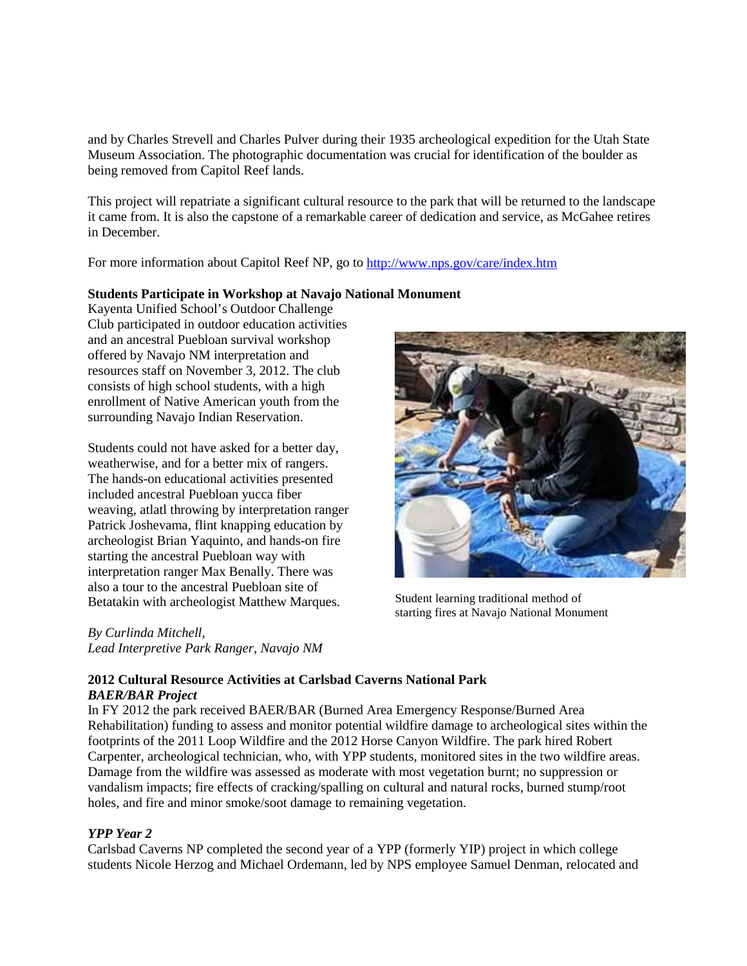and by Charles Strevell and Charles Pulver during their 1935 archeological expedition for the Utah State Museum Association. The photographic documentation was crucial for identification of the boulder as being removed from Capitol Reef lands.

This project will repatriate a significant cultural resource to the park that will be returned to the landscape it came from. It is also the capstone of a remarkable career of dedication and service, as McGahee retires in December.

For more information about Capitol Reef NP, go to<http://www.nps.gov/care/index.htm>

### **Students Participate in Workshop at Navajo National Monument**

Kayenta Unified School's Outdoor Challenge Club participated in outdoor education activities and an ancestral Puebloan survival workshop offered by Navajo NM interpretation and resources staff on November 3, 2012. The club consists of high school students, with a high enrollment of Native American youth from the surrounding Navajo Indian Reservation.

Students could not have asked for a better day, weatherwise, and for a better mix of rangers. The hands-on educational activities presented included ancestral Puebloan yucca fiber weaving, atlatl throwing by interpretation ranger Patrick Joshevama, flint knapping education by archeologist Brian Yaquinto, and hands-on fire starting the ancestral Puebloan way with interpretation ranger Max Benally. There was also a tour to the ancestral Puebloan site of Betatakin with archeologist Matthew Marques.

*By Curlinda Mitchell, Lead Interpretive Park Ranger, Navajo NM*



Student learning traditional method of starting fires at Navajo National Monument

### **2012 Cultural Resource Activities at Carlsbad Caverns National Park** *BAER/BAR Project*

In FY 2012 the park received BAER/BAR (Burned Area Emergency Response/Burned Area Rehabilitation) funding to assess and monitor potential wildfire damage to archeological sites within the footprints of the 2011 Loop Wildfire and the 2012 Horse Canyon Wildfire. The park hired Robert Carpenter, archeological technician, who, with YPP students, monitored sites in the two wildfire areas. Damage from the wildfire was assessed as moderate with most vegetation burnt; no suppression or vandalism impacts; fire effects of cracking/spalling on cultural and natural rocks, burned stump/root holes, and fire and minor smoke/soot damage to remaining vegetation.

## *YPP Year 2*

Carlsbad Caverns NP completed the second year of a YPP (formerly YIP) project in which college students Nicole Herzog and Michael Ordemann, led by NPS employee Samuel Denman, relocated and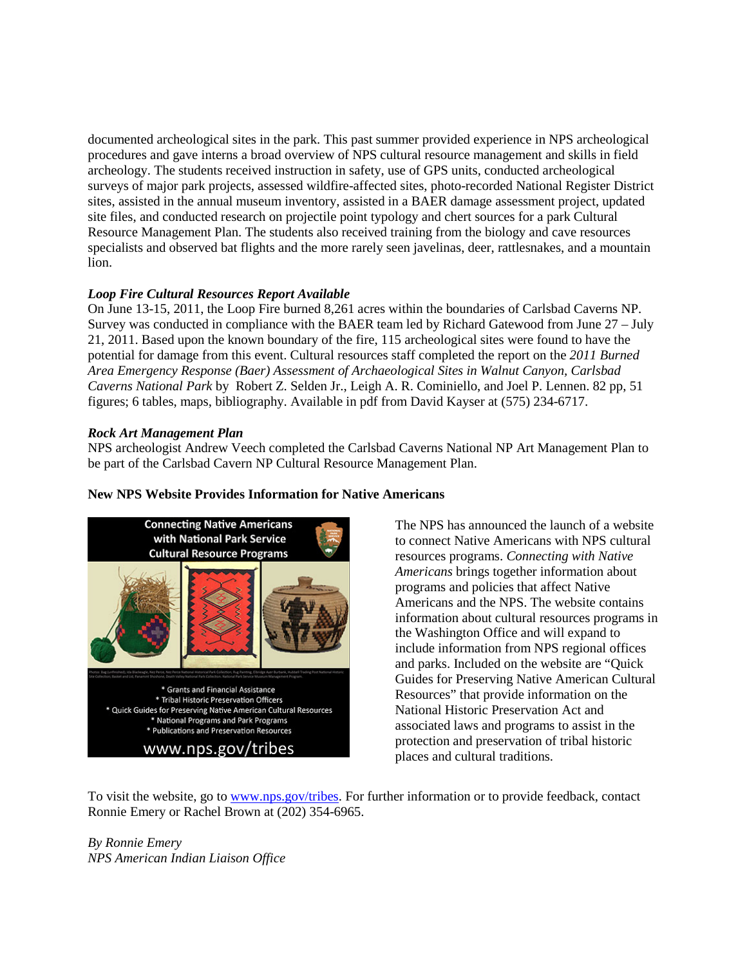documented archeological sites in the park. This past summer provided experience in NPS archeological procedures and gave interns a broad overview of NPS cultural resource management and skills in field archeology. The students received instruction in safety, use of GPS units, conducted archeological surveys of major park projects, assessed wildfire-affected sites, photo-recorded National Register District sites, assisted in the annual museum inventory, assisted in a BAER damage assessment project, updated site files, and conducted research on projectile point typology and chert sources for a park Cultural Resource Management Plan. The students also received training from the biology and cave resources specialists and observed bat flights and the more rarely seen javelinas, deer, rattlesnakes, and a mountain lion.

# *Loop Fire Cultural Resources Report Available*

On June 13-15, 2011, the Loop Fire burned 8,261 acres within the boundaries of Carlsbad Caverns NP. Survey was conducted in compliance with the BAER team led by Richard Gatewood from June 27 – July 21, 2011. Based upon the known boundary of the fire, 115 archeological sites were found to have the potential for damage from this event. Cultural resources staff completed the report on the *2011 Burned Area Emergency Response (Baer) Assessment of Archaeological Sites in Walnut Canyon, Carlsbad Caverns National Park* by Robert Z. Selden Jr., Leigh A. R. Cominiello, and Joel P. Lennen. 82 pp, 51 figures; 6 tables, maps, bibliography. Available in pdf from David Kayser at (575) 234-6717.

# *Rock Art Management Plan*

NPS archeologist Andrew Veech completed the Carlsbad Caverns National NP Art Management Plan to be part of the Carlsbad Cavern NP Cultural Resource Management Plan.



## **New NPS Website Provides Information for Native Americans**

The NPS has announced the launch of a website to connect Native Americans with NPS cultural resources programs. *Connecting with Native Americans* brings together information about programs and policies that affect Native Americans and the NPS. The website contains information about cultural resources programs in the Washington Office and will expand to include information from NPS regional offices and parks. Included on the website are "Quick Guides for Preserving Native American Cultural Resources" that provide information on the National Historic Preservation Act and associated laws and programs to assist in the protection and preservation of tribal historic places and cultural traditions.

To visit the website, go to [www.nps.gov/tribes.](http://www.nps.gov/tribes) For further information or to provide feedback, contact Ronnie Emery or Rachel Brown at (202) 354-6965.

*By Ronnie Emery NPS American Indian Liaison Office*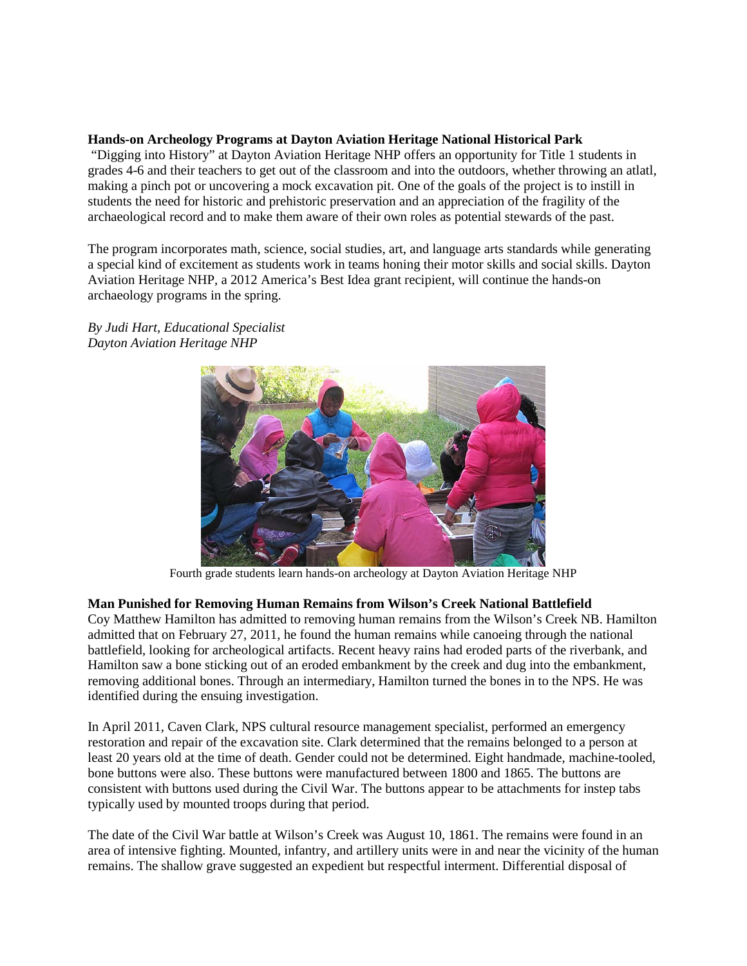## **Hands-on Archeology Programs at Dayton Aviation Heritage National Historical Park**

"Digging into History" at Dayton Aviation Heritage NHP offers an opportunity for Title 1 students in grades 4-6 and their teachers to get out of the classroom and into the outdoors, whether throwing an atlatl, making a pinch pot or uncovering a mock excavation pit. One of the goals of the project is to instill in students the need for historic and prehistoric preservation and an appreciation of the fragility of the archaeological record and to make them aware of their own roles as potential stewards of the past.

The program incorporates math, science, social studies, art, and language arts standards while generating a special kind of excitement as students work in teams honing their motor skills and social skills. Dayton Aviation Heritage NHP, a 2012 America's Best Idea grant recipient, will continue the hands-on archaeology programs in the spring.

*By Judi Hart, Educational Specialist Dayton Aviation Heritage NHP* 



Fourth grade students learn hands-on archeology at Dayton Aviation Heritage NHP

## **Man Punished for Removing Human Remains from Wilson's Creek National Battlefield**

Coy Matthew Hamilton has admitted to removing human remains from the Wilson's Creek NB. Hamilton admitted that on February 27, 2011, he found the human remains while canoeing through the national battlefield, looking for archeological artifacts. Recent heavy rains had eroded parts of the riverbank, and Hamilton saw a bone sticking out of an eroded embankment by the creek and dug into the embankment, removing additional bones. Through an intermediary, Hamilton turned the bones in to the NPS. He was identified during the ensuing investigation.

In April 2011, Caven Clark, NPS cultural resource management specialist, performed an emergency restoration and repair of the excavation site. Clark determined that the remains belonged to a person at least 20 years old at the time of death. Gender could not be determined. Eight handmade, machine-tooled, bone buttons were also. These buttons were manufactured between 1800 and 1865. The buttons are consistent with buttons used during the Civil War. The buttons appear to be attachments for instep tabs typically used by mounted troops during that period.

The date of the Civil War battle at Wilson's Creek was August 10, 1861. The remains were found in an area of intensive fighting. Mounted, infantry, and artillery units were in and near the vicinity of the human remains. The shallow grave suggested an expedient but respectful interment. Differential disposal of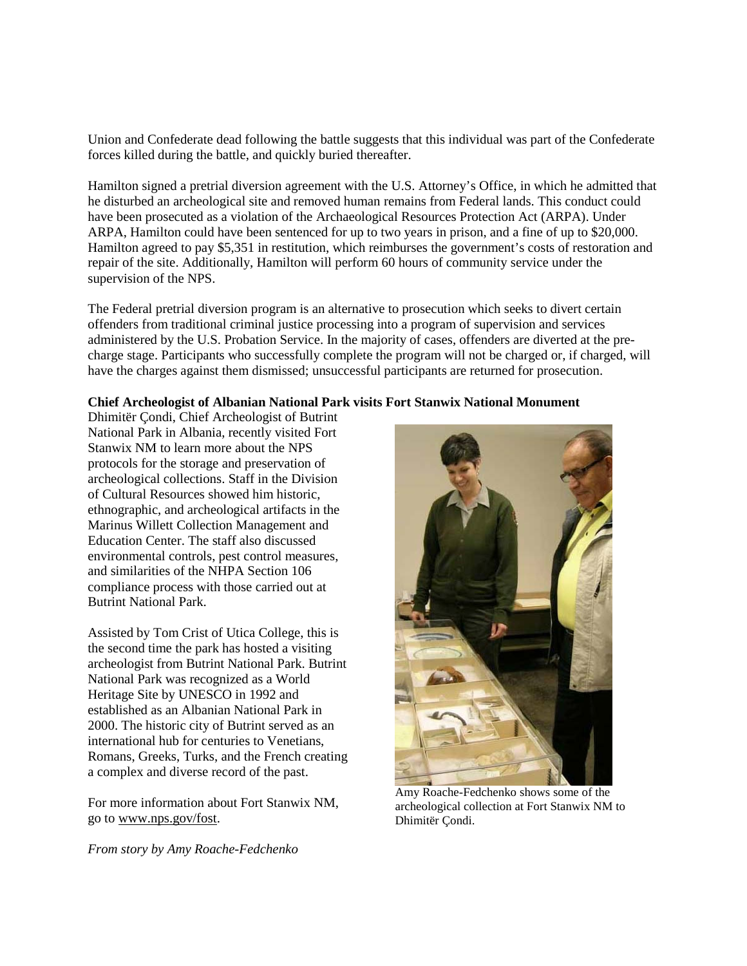Union and Confederate dead following the battle suggests that this individual was part of the Confederate forces killed during the battle, and quickly buried thereafter.

Hamilton signed a pretrial diversion agreement with the U.S. Attorney's Office, in which he admitted that he disturbed an archeological site and removed human remains from Federal lands. This conduct could have been prosecuted as a violation of the Archaeological Resources Protection Act (ARPA). Under ARPA, Hamilton could have been sentenced for up to two years in prison, and a fine of up to \$20,000. Hamilton agreed to pay \$5,351 in restitution, which reimburses the government's costs of restoration and repair of the site. Additionally, Hamilton will perform 60 hours of community service under the supervision of the NPS.

The Federal pretrial diversion program is an alternative to prosecution which seeks to divert certain offenders from traditional criminal justice processing into a program of supervision and services administered by the U.S. Probation Service. In the majority of cases, offenders are diverted at the precharge stage. Participants who successfully complete the program will not be charged or, if charged, will have the charges against them dismissed; unsuccessful participants are returned for prosecution.

### **Chief Archeologist of Albanian National Park visits Fort Stanwix National Monument**

Dhimitër Çondi, Chief Archeologist of Butrint National Park in Albania, recently visited Fort Stanwix NM to learn more about the NPS protocols for the storage and preservation of archeological collections. Staff in the Division of Cultural Resources showed him historic, ethnographic, and archeological artifacts in the Marinus Willett Collection Management and Education Center. The staff also discussed environmental controls, pest control measures, and similarities of the NHPA Section 106 compliance process with those carried out at Butrint National Park.

Assisted by Tom Crist of Utica College, this is the second time the park has hosted a visiting archeologist from Butrint National Park. Butrint National Park was recognized as a World Heritage Site by UNESCO in 1992 and established as an Albanian National Park in 2000. The historic city of Butrint served as an international hub for centuries to Venetians, Romans, Greeks, Turks, and the French creating a complex and diverse record of the past.

For more information about Fort Stanwix NM, go to [www.nps.gov/fost.](http://www.nps.gov/fost)

*From story by [Amy Roache-Fedchenko](mailto:amy_roache-fedchenko@nps.gov)*



Amy Roache-Fedchenko shows some of the archeological collection at Fort Stanwix NM to Dhimitër Çondi.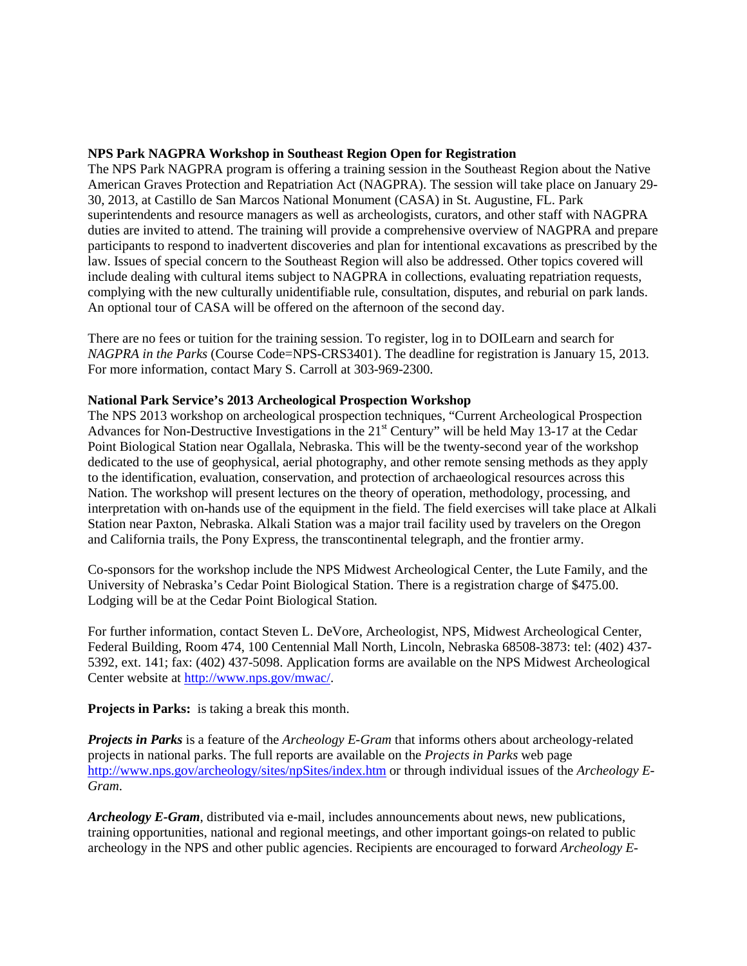## **NPS Park NAGPRA Workshop in Southeast Region Open for Registration**

The NPS Park NAGPRA program is offering a training session in the Southeast Region about the Native American Graves Protection and Repatriation Act (NAGPRA). The session will take place on January 29- 30, 2013, at Castillo de San Marcos National Monument (CASA) in St. Augustine, FL. Park superintendents and resource managers as well as archeologists, curators, and other staff with NAGPRA duties are invited to attend. The training will provide a comprehensive overview of NAGPRA and prepare participants to respond to inadvertent discoveries and plan for intentional excavations as prescribed by the law. Issues of special concern to the Southeast Region will also be addressed. Other topics covered will include dealing with cultural items subject to NAGPRA in collections, evaluating repatriation requests, complying with the new culturally unidentifiable rule, consultation, disputes, and reburial on park lands. An optional tour of CASA will be offered on the afternoon of the second day.

There are no fees or tuition for the training session. To register, log in to DOILearn and search for *NAGPRA in the Parks* (Course Code=NPS-CRS3401). The deadline for registration is January 15, 2013. For more information, contact Mary S. Carroll at 303-969-2300.

#### **National Park Service's 2013 Archeological Prospection Workshop**

The NPS 2013 workshop on archeological prospection techniques, "Current Archeological Prospection Advances for Non-Destructive Investigations in the 21<sup>st</sup> Century" will be held May 13-17 at the Cedar Point Biological Station near Ogallala, Nebraska. This will be the twenty-second year of the workshop dedicated to the use of geophysical, aerial photography, and other remote sensing methods as they apply to the identification, evaluation, conservation, and protection of archaeological resources across this Nation. The workshop will present lectures on the theory of operation, methodology, processing, and interpretation with on-hands use of the equipment in the field. The field exercises will take place at Alkali Station near Paxton, Nebraska. Alkali Station was a major trail facility used by travelers on the Oregon and California trails, the Pony Express, the transcontinental telegraph, and the frontier army.

Co-sponsors for the workshop include the NPS Midwest Archeological Center, the Lute Family, and the University of Nebraska's Cedar Point Biological Station. There is a registration charge of \$475.00. Lodging will be at the Cedar Point Biological Station.

For further information, contact Steven L. DeVore, Archeologist, NPS, Midwest Archeological Center, Federal Building, Room 474, 100 Centennial Mall North, Lincoln, Nebraska 68508-3873: tel: (402) 437- 5392, ext. 141; fax: (402) 437-5098. Application forms are available on the NPS Midwest Archeological Center website at [http://www.nps.gov/mwac/.](http://www.cr.nps.gov/mwac/)

**Projects in Parks:** is taking a break this month.

*Projects in Parks* is a feature of the *Archeology E-Gram* that informs others about archeology-related projects in national parks. The full reports are available on the *Projects in Parks* web page <http://www.nps.gov/archeology/sites/npSites/index.htm> or through individual issues of the *Archeology E-Gram*.

*Archeology E-Gram*, distributed via e-mail, includes announcements about news, new publications, training opportunities, national and regional meetings, and other important goings-on related to public archeology in the NPS and other public agencies. Recipients are encouraged to forward *Archeology E-*